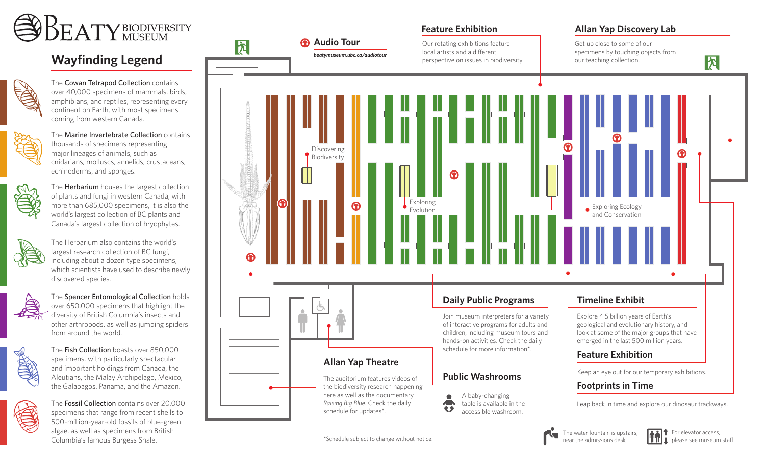

# **Wayfinding Legend**



The Cowan Tetrapod Collection contains over 40,000 specimens of mammals, birds, amphibians, and reptiles, representing every continent on Earth, with most specimens coming from western Canada.



The Marine Invertebrate Collection contains thousands of specimens representing major lineages of animals, such as cnidarians, molluscs, annelids, crustaceans, echinoderms, and sponges.



The **Herbarium** houses the largest collection of plants and fungi in western Canada, with more than 685,000 specimens, it is also the world's largest collection of BC plants and Canada's largest collection of bryophytes.



The Herbarium also contains the world's largest research collection of BC fungi, including about a dozen type specimens, which scientists have used to describe newly discovered species.



The Spencer Entomological Collection holds over 650,000 specimens that highlight the diversity of British Columbia's insects and other arthropods, as well as jumping spiders from around the world.



The Fish Collection boasts over 850,000 specimens, with particularly spectacular and important holdings from Canada, the Aleutians, the Malay Archipelago, Mexico, the Galapagos, Panama, and the Amazon.



The Fossil Collection contains over 20,000 specimens that range from recent shells to 500-million-year-old fossils of blue-green algae, as well as specimens from British Columbia's famous Burgess Shale.



**Feature Exhibition Allan Yap Discovery Lab**